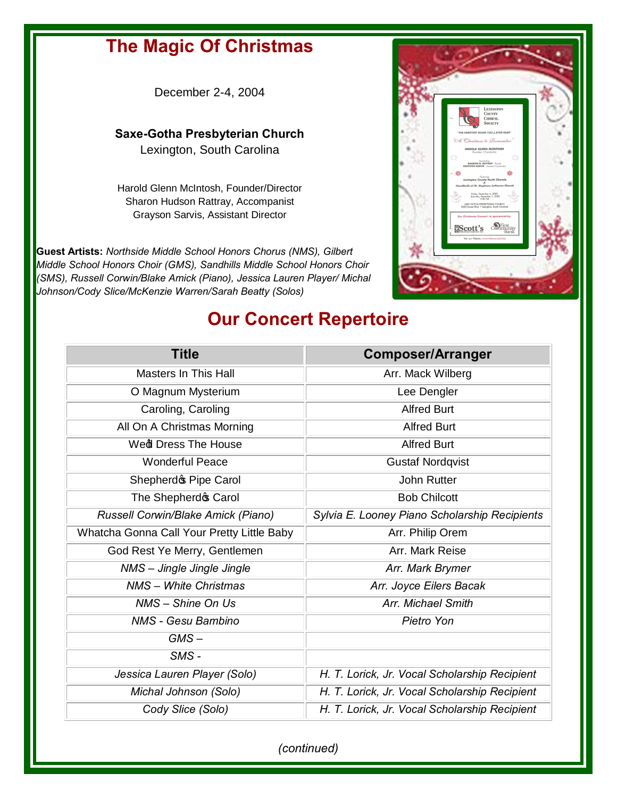## **The Magic Of Christmas**

December 2-4, 2004

## **Saxe-Gotha Presbyterian Church**  Lexington, South Carolina

Harold Glenn McIntosh, Founder/Director Sharon Hudson Rattray, Accompanist Grayson Sarvis, Assistant Director

**Guest Artists:** *Northside Middle School Honors Chorus (NMS), Gilbert Middle School Honors Choir (GMS), Sandhills Middle School Honors Choir (SMS), Russell Corwin/Blake Amick (Piano), Jessica Lauren Player/ Michal Johnson/Cody Slice/McKenzie Warren/Sarah Beatty (Solos)*



## **Our Concert Repertoire**

| <b>Title</b>                               | <b>Composer/Arranger</b>                      |
|--------------------------------------------|-----------------------------------------------|
| <b>Masters In This Hall</b>                | Arr. Mack Wilberg                             |
| O Magnum Mysterium                         | Lee Dengler                                   |
| Caroling, Caroling                         | <b>Alfred Burt</b>                            |
| All On A Christmas Morning                 | <b>Alfred Burt</b>                            |
| Wed Dress The House                        | <b>Alfred Burt</b>                            |
| <b>Wonderful Peace</b>                     | <b>Gustaf Nordqvist</b>                       |
| Shepherdo Pipe Carol                       | <b>John Rutter</b>                            |
| The Shepherd & Carol                       | <b>Bob Chilcott</b>                           |
| Russell Corwin/Blake Amick (Piano)         | Sylvia E. Looney Piano Scholarship Recipients |
| Whatcha Gonna Call Your Pretty Little Baby | Arr. Philip Orem                              |
| God Rest Ye Merry, Gentlemen               | Arr. Mark Reise                               |
| NMS - Jingle Jingle Jingle                 | Arr. Mark Brymer                              |
| <b>NMS</b> - White Christmas               | Arr. Joyce Eilers Bacak                       |
| NMS - Shine On Us                          | Arr. Michael Smith                            |
| <b>NMS - Gesu Bambino</b>                  | Pietro Yon                                    |
| $GMS -$                                    |                                               |
| SMS-                                       |                                               |
| Jessica Lauren Player (Solo)               | H. T. Lorick, Jr. Vocal Scholarship Recipient |
| Michal Johnson (Solo)                      | H. T. Lorick, Jr. Vocal Scholarship Recipient |
| Cody Slice (Solo)                          | H. T. Lorick, Jr. Vocal Scholarship Recipient |

*(continued)*